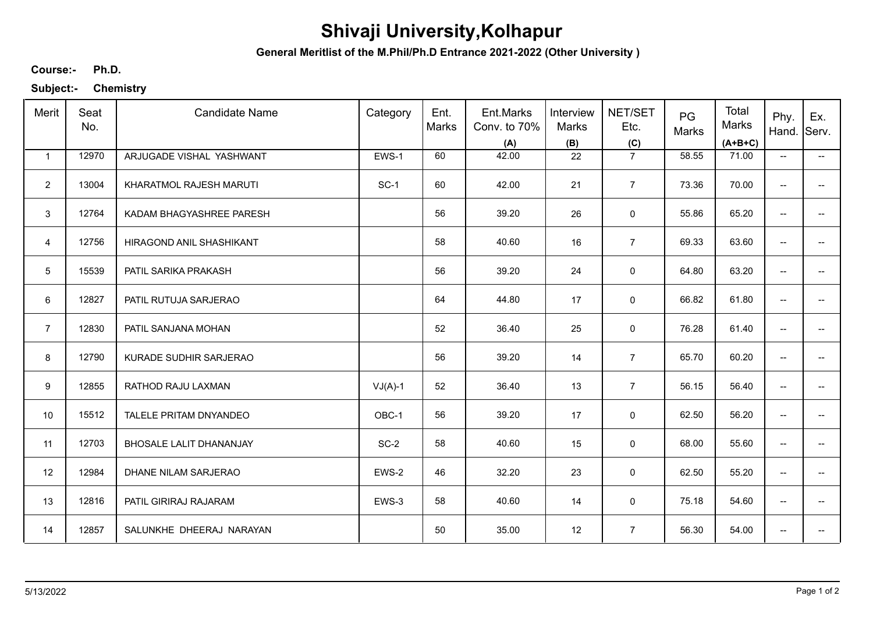## **Shivaji University,Kolhapur**

**General Meritlist of the M.Phil/Ph.D Entrance 2021-2022 (Other University )**

**Ph.D. Course:-**

**Subject:- Chemistry**

| Merit           | Seat<br>No. | <b>Candidate Name</b>    | Category  | Ent.<br>Marks | Ent.Marks<br>Conv. to 70%<br>(A) | Interview<br>Marks<br>(B) | NET/SET<br>Etc.<br>(C) | PG<br>Marks | Total<br>Marks<br>$(A+B+C)$ | Phy.<br>Hand.                       | Ex.<br>Serv.             |
|-----------------|-------------|--------------------------|-----------|---------------|----------------------------------|---------------------------|------------------------|-------------|-----------------------------|-------------------------------------|--------------------------|
| $\mathbf{1}$    | 12970       | ARJUGADE VISHAL YASHWANT | EWS-1     | 60            | 42.00                            | 22                        | $\overline{7}$         | 58.55       | 71.00                       | $\overline{\phantom{a}}$            | $\overline{\phantom{a}}$ |
| $\overline{2}$  | 13004       | KHARATMOL RAJESH MARUTI  | $SC-1$    | 60            | 42.00                            | 21                        | $\overline{7}$         | 73.36       | 70.00                       | $\overline{\phantom{a}}$            |                          |
| 3               | 12764       | KADAM BHAGYASHREE PARESH |           | 56            | 39.20                            | 26                        | $\mathsf 0$            | 55.86       | 65.20                       | $\overline{\phantom{a}}$            | --                       |
| $\overline{4}$  | 12756       | HIRAGOND ANIL SHASHIKANT |           | 58            | 40.60                            | 16                        | $\overline{7}$         | 69.33       | 63.60                       | $\overline{\phantom{a}}$            |                          |
| $5\phantom{.0}$ | 15539       | PATIL SARIKA PRAKASH     |           | 56            | 39.20                            | 24                        | 0                      | 64.80       | 63.20                       | $\overline{\phantom{m}}$            | $\qquad \qquad -$        |
| 6               | 12827       | PATIL RUTUJA SARJERAO    |           | 64            | 44.80                            | 17                        | 0                      | 66.82       | 61.80                       | $\overline{\phantom{a}}$            | $\qquad \qquad -$        |
| $\overline{7}$  | 12830       | PATIL SANJANA MOHAN      |           | 52            | 36.40                            | 25                        | 0                      | 76.28       | 61.40                       | $\overline{\phantom{a}}$            | $\qquad \qquad -$        |
| 8               | 12790       | KURADE SUDHIR SARJERAO   |           | 56            | 39.20                            | 14                        | $\overline{7}$         | 65.70       | 60.20                       | $\overline{\phantom{a}}$            |                          |
| 9               | 12855       | RATHOD RAJU LAXMAN       | $VJ(A)-1$ | 52            | 36.40                            | 13                        | $\overline{7}$         | 56.15       | 56.40                       | $\overline{\phantom{a}}$            |                          |
| 10              | 15512       | TALELE PRITAM DNYANDEO   | OBC-1     | 56            | 39.20                            | 17                        | 0                      | 62.50       | 56.20                       | $\overline{\phantom{a}}$            | --                       |
| 11              | 12703       | BHOSALE LALIT DHANANJAY  | $SC-2$    | 58            | 40.60                            | 15                        | $\mathbf 0$            | 68.00       | 55.60                       | $\overline{\phantom{a}}$            | --                       |
| 12              | 12984       | DHANE NILAM SARJERAO     | EWS-2     | 46            | 32.20                            | 23                        | 0                      | 62.50       | 55.20                       | $\overline{\phantom{a}}$            | $\overline{\phantom{a}}$ |
| 13              | 12816       | PATIL GIRIRAJ RAJARAM    | EWS-3     | 58            | 40.60                            | 14                        | 0                      | 75.18       | 54.60                       | $\overline{\phantom{a}}$            | $\overline{\phantom{a}}$ |
| 14              | 12857       | SALUNKHE DHEERAJ NARAYAN |           | 50            | 35.00                            | 12                        | $\overline{7}$         | 56.30       | 54.00                       | $\hspace{0.05cm}$ $\hspace{0.05cm}$ | --                       |